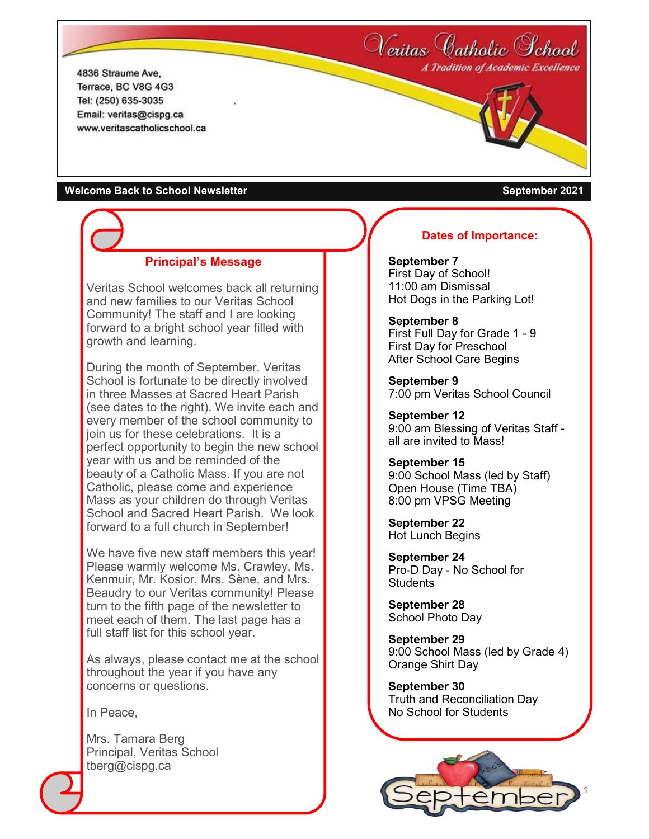Neritas Catholic School A Tradition of Academic Excellence

4836 Straume Ave. Terrace, BC V8G 4G3 Tel: (250) 635-3035 Email: veritas@cispg.ca www.veritascatholicschool.ca

#### **Welcome Back to School Newsletter September 2021**

### **Principal's Message**

Veritas School welcomes back all returning and new families to our Veritas School Community! The staff and I are looking forward to a bright school year filled with growth and learning.

During the month of September, Veritas School is fortunate to be directly involved in three Masses at Sacred Heart Parish (see dates to the right). We invite each and every member of the school community to join us for these celebrations. It is a perfect opportunity to begin the new school year with us and be reminded of the beauty of a Catholic Mass. If you are not Catholic, please come and experience Mass as your children do through Veritas School and Sacred Heart Parish. We look forward to a full church in September!

We have five new staff members this year! Please warmly welcome Ms. Crawley, Ms. Kenmuir, Mr. Kosior, Mrs. Sène, and Mrs. Beaudry to our Veritas community! Please turn to the fifth page of the newsletter to meet each of them. The last page has a full staff list for this school year.

As always, please contact me at the school throughout the year if you have any concerns or questions.

In Peace,

Mrs. Tamara Berg Principal, Veritas School tberg@cispg.ca

### **Dates of Importance:**

**September 7** First Day of School! 11:00 am Dismissal Hot Dogs in the Parking Lot!

#### **September 8**

First Full Day for Grade 1 - 9 First Day for Preschool After School Care Begins

**September 9** 7:00 pm Veritas School Council

**September 12** 9:00 am Blessing of Veritas Staff all are invited to Mass!

**September 15** 9:00 School Mass (led by Staff) Open House (Time TBA) 8:00 pm VPSG Meeting

**September 22** Hot Lunch Begins

**September 24** Pro-D Day - No School for **Students** 

**September 28** School Photo Day

**September 29** 9:00 School Mass (led by Grade 4) Orange Shirt Day

**September 30** Truth and Reconciliation Day No School for Students

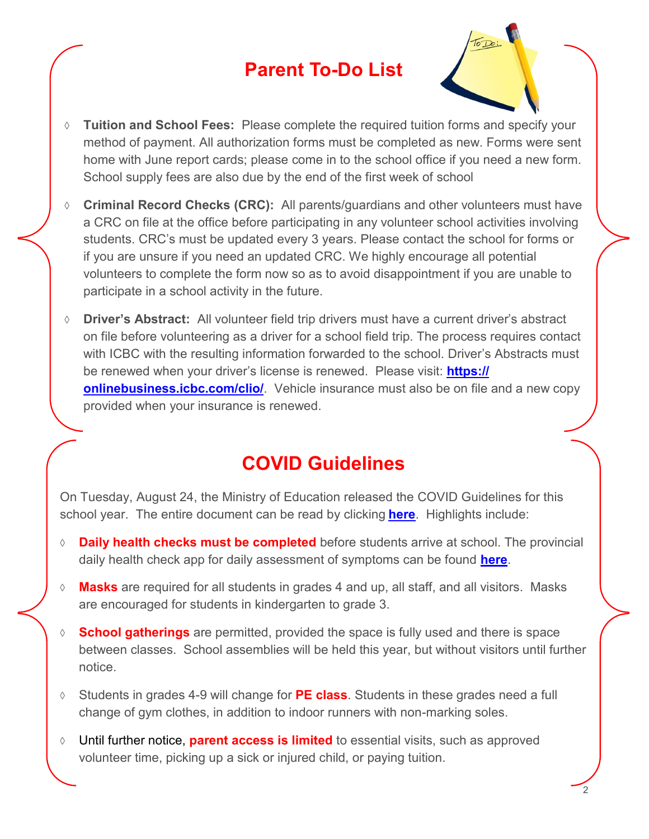## **Parent To-Do List**



- **Tuition and School Fees:** Please complete the required tuition forms and specify your method of payment. All authorization forms must be completed as new. Forms were sent home with June report cards; please come in to the school office if you need a new form. School supply fees are also due by the end of the first week of school
- **Criminal Record Checks (CRC):** All parents/guardians and other volunteers must have a CRC on file at the office before participating in any volunteer school activities involving students. CRC's must be updated every 3 years. Please contact the school for forms or if you are unsure if you need an updated CRC. We highly encourage all potential volunteers to complete the form now so as to avoid disappointment if you are unable to participate in a school activity in the future.
- **Driver's Abstract:** All volunteer field trip drivers must have a current driver's abstract on file before volunteering as a driver for a school field trip. The process requires contact with ICBC with the resulting information forwarded to the school. Driver's Abstracts must be renewed when your driver's license is renewed. Please visit: **[https://](https://onlinebusiness.icbc.com/clio/) [onlinebusiness.icbc.com/clio/](https://onlinebusiness.icbc.com/clio/)**. Vehicle insurance must also be on file and a new copy provided when your insurance is renewed.

# **COVID Guidelines**

On Tuesday, August 24, the Ministry of Education released the COVID Guidelines for this school year. The entire document can be read by clicking **[here](https://www2.gov.bc.ca/assets/gov/education/administration/kindergarten-to-grade-12/safe-caring-orderly/k-12-covid-19-health-safety-guidlines.pdf)**. Highlights include:

- **Daily health checks must be completed** before students arrive at school. The provincial daily health check app for daily assessment of symptoms can be found **[here](https://www.k12dailycheck.gov.bc.ca/healthcheck?execution=e1s1)**.
- **Masks** are required for all students in grades 4 and up, all staff, and all visitors. Masks are encouraged for students in kindergarten to grade 3.
- **School gatherings** are permitted, provided the space is fully used and there is space between classes. School assemblies will be held this year, but without visitors until further notice.
- Students in grades 4-9 will change for **PE class**. Students in these grades need a full change of gym clothes, in addition to indoor runners with non-marking soles.
- Until further notice, **parent access is limited** to essential visits, such as approved volunteer time, picking up a sick or injured child, or paying tuition.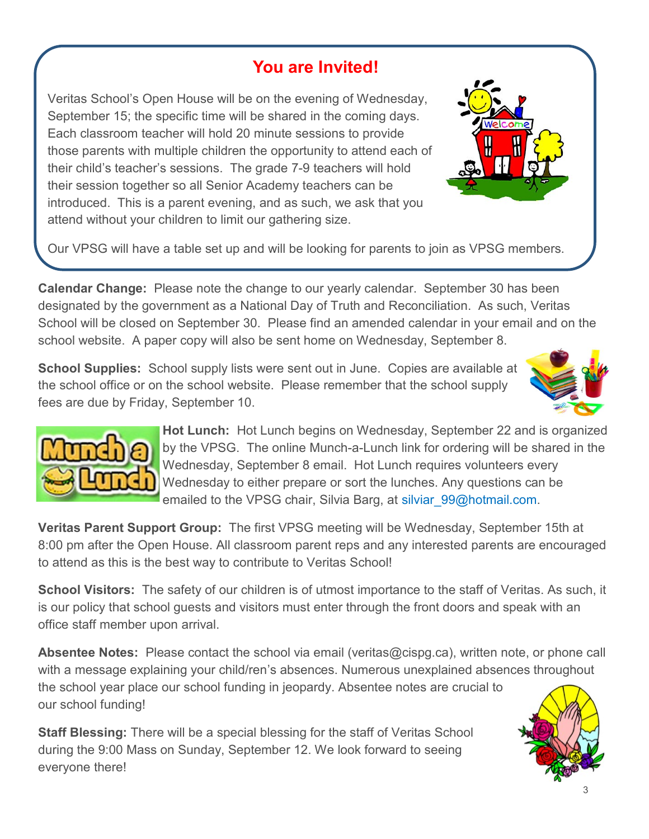## **You are Invited!**

Veritas School's Open House will be on the evening of Wednesday, September 15; the specific time will be shared in the coming days. Each classroom teacher will hold 20 minute sessions to provide those parents with multiple children the opportunity to attend each of their child's teacher's sessions. The grade 7-9 teachers will hold their session together so all Senior Academy teachers can be introduced. This is a parent evening, and as such, we ask that you attend without your children to limit our gathering size.



Our VPSG will have a table set up and will be looking for parents to join as VPSG members.

**Calendar Change:** Please note the change to our yearly calendar. September 30 has been designated by the government as a National Day of Truth and Reconciliation. As such, Veritas School will be closed on September 30. Please find an amended calendar in your email and on the school website. A paper copy will also be sent home on Wednesday, September 8.

**School Supplies:** School supply lists were sent out in June. Copies are available at the school office or on the school website. Please remember that the school supply fees are due by Friday, September 10.





**Hot Lunch:** Hot Lunch begins on Wednesday, September 22 and is organized by the VPSG. The online Munch-a-Lunch link for ordering will be shared in the Wednesday, September 8 email. Hot Lunch requires volunteers every Wednesday to either prepare or sort the lunches. Any questions can be emailed to the VPSG chair, Silvia Barg, at silviar 99@hotmail.com.

**Veritas Parent Support Group:** The first VPSG meeting will be Wednesday, September 15th at 8:00 pm after the Open House. All classroom parent reps and any interested parents are encouraged to attend as this is the best way to contribute to Veritas School!

**School Visitors:** The safety of our children is of utmost importance to the staff of Veritas. As such, it is our policy that school guests and visitors must enter through the front doors and speak with an office staff member upon arrival.

**Absentee Notes:** Please contact the school via email (veritas@cispg.ca), written note, or phone call with a message explaining your child/ren's absences. Numerous unexplained absences throughout the school year place our school funding in jeopardy. Absentee notes are crucial to our school funding!

**Staff Blessing:** There will be a special blessing for the staff of Veritas School during the 9:00 Mass on Sunday, September 12. We look forward to seeing everyone there!

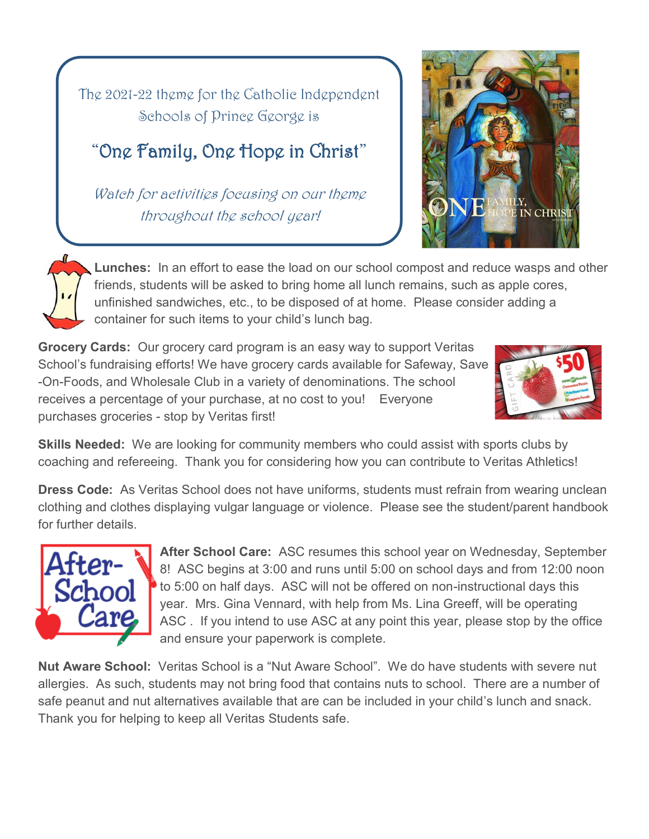The 2021-22 theme for the Catholic Independent Schools of Prince George is

# "One Family, One Hope in Christ"

Watch for activities focusing on our theme throughout the school year!





**Lunches:** In an effort to ease the load on our school compost and reduce wasps and other friends, students will be asked to bring home all lunch remains, such as apple cores, unfinished sandwiches, etc., to be disposed of at home. Please consider adding a container for such items to your child's lunch bag.

**Grocery Cards:** Our grocery card program is an easy way to support Veritas School's fundraising efforts! We have grocery cards available for Safeway, Save -On-Foods, and Wholesale Club in a variety of denominations. The school receives a percentage of your purchase, at no cost to you! Everyone purchases groceries - stop by Veritas first!



**Skills Needed:** We are looking for community members who could assist with sports clubs by coaching and refereeing. Thank you for considering how you can contribute to Veritas Athletics!

**Dress Code:** As Veritas School does not have uniforms, students must refrain from wearing unclean clothing and clothes displaying vulgar language or violence. Please see the student/parent handbook for further details.



**After School Care:** ASC resumes this school year on Wednesday, September 8! ASC begins at 3:00 and runs until 5:00 on school days and from 12:00 noon to 5:00 on half days. ASC will not be offered on non-instructional days this year. Mrs. Gina Vennard, with help from Ms. Lina Greeff, will be operating ASC . If you intend to use ASC at any point this year, please stop by the office and ensure your paperwork is complete.

**Nut Aware School:** Veritas School is a "Nut Aware School". We do have students with severe nut allergies. As such, students may not bring food that contains nuts to school. There are a number of safe peanut and nut alternatives available that are can be included in your child's lunch and snack. Thank you for helping to keep all Veritas Students safe.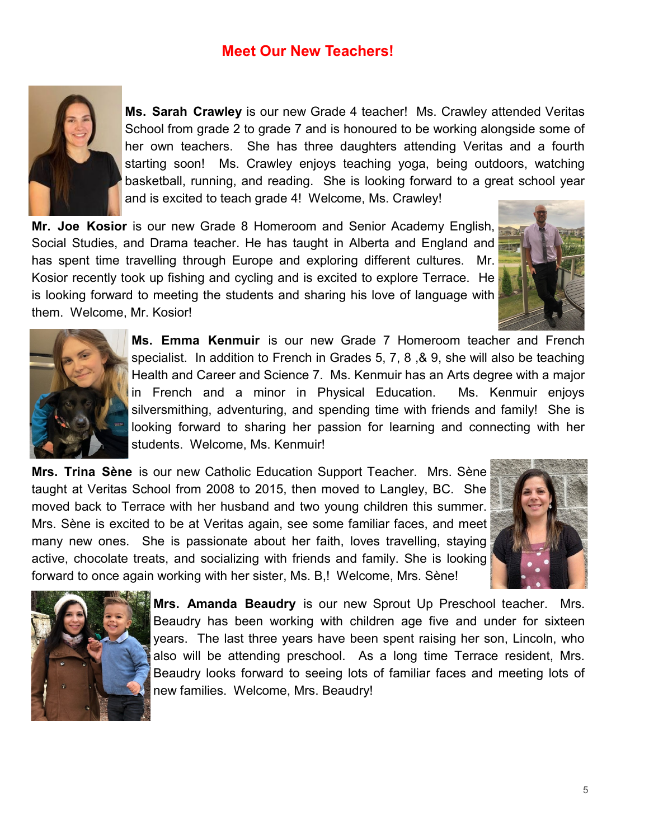### **Meet Our New Teachers!**



**Ms. Sarah Crawley** is our new Grade 4 teacher! Ms. Crawley attended Veritas School from grade 2 to grade 7 and is honoured to be working alongside some of her own teachers. She has three daughters attending Veritas and a fourth starting soon! Ms. Crawley enjoys teaching yoga, being outdoors, watching basketball, running, and reading. She is looking forward to a great school year and is excited to teach grade 4! Welcome, Ms. Crawley!

**Mr. Joe Kosior** is our new Grade 8 Homeroom and Senior Academy English, Social Studies, and Drama teacher. He has taught in Alberta and England and has spent time travelling through Europe and exploring different cultures. Mr. Kosior recently took up fishing and cycling and is excited to explore Terrace. He is looking forward to meeting the students and sharing his love of language with them. Welcome, Mr. Kosior!





**Ms. Emma Kenmuir** is our new Grade 7 Homeroom teacher and French specialist. In addition to French in Grades 5, 7, 8 ,& 9, she will also be teaching Health and Career and Science 7. Ms. Kenmuir has an Arts degree with a major in French and a minor in Physical Education. Ms. Kenmuir enjoys silversmithing, adventuring, and spending time with friends and family! She is looking forward to sharing her passion for learning and connecting with her students. Welcome, Ms. Kenmuir!

**Mrs. Trina Sène** is our new Catholic Education Support Teacher. Mrs. Sène taught at Veritas School from 2008 to 2015, then moved to Langley, BC. She moved back to Terrace with her husband and two young children this summer. Mrs. Sène is excited to be at Veritas again, see some familiar faces, and meet many new ones. She is passionate about her faith, loves travelling, staying active, chocolate treats, and socializing with friends and family. She is looking forward to once again working with her sister, Ms. B,! Welcome, Mrs. Sène!





**Mrs. Amanda Beaudry** is our new Sprout Up Preschool teacher. Mrs. Beaudry has been working with children age five and under for sixteen years. The last three years have been spent raising her son, Lincoln, who also will be attending preschool. As a long time Terrace resident, Mrs. Beaudry looks forward to seeing lots of familiar faces and meeting lots of new families. Welcome, Mrs. Beaudry!